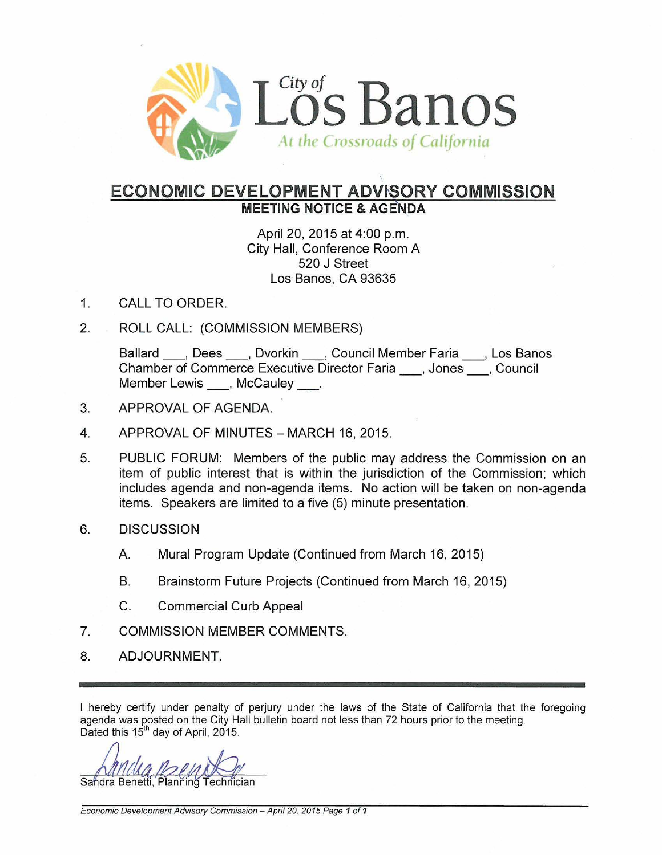

## **ECONOMIC DEVELOPMENT ADWSORY COMMISSION** MEETING NOTICE & AGENDA

April 20, 2015 at 4:00 p.m. City Hall, Conference Room A 520 J Street Los Banos, CA 93635

- 1. CALL TO ORDER.
- 2. ROLL CALL: (COMMISSION MEMBERS)

Ballard \_\_\_, Dees \_\_\_, Dvorkin \_\_\_, Council Member Faria \_\_\_, Los Banos Chamber of Commerce Executive Director Faria , Jones , Council Member Lewis \_\_, McCauley \_\_.

- 3. APPROVAL OF AGENDA.
- 4. APPROVAL OF MINUTES MARCH 16, 2015.
- 5. PUBLIC FORUM: Members of the public may address the Commission on an item of public interest that is within the jurisdiction of the Commission; which includes agenda and non-agenda items. No action will be taken on non-agenda items. Speakers are limited to a five (5) minute presentation.
- 6. DISCUSSION
	- A. Mural Program Update (Continued from March 16,2015)
	- B. Brainstorm Future Projects (Continued from March 16, 2015)
	- C. Commercial Curb Appeal
- 7. COMMISSION MEMBER COMMENTS.
- 8. ADJOURNMENT.

I hereby certify under penalty of perjury under the laws of the State of California that the foregoing agenda was posted on the City Hall bulletin board not less than 72 hours prior to the meeting. Dated this 15<sup>th</sup> day of April, 2015.

Sandra Benetti, Planning Technician

Economic Development Advisory Commission - April 20, 2015 Page 1 of 1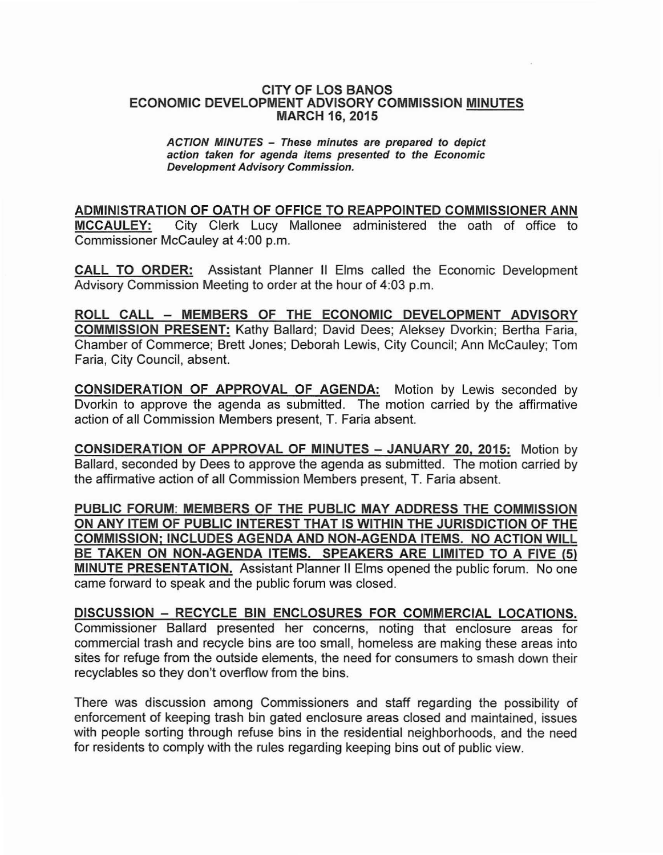## CITY OF LOS BANOS ECONOMIC DEVELOPMENT ADVISORY COMMISSION MINUTES MARCH 16, 2015

## ACTION MINUTES - These minutes are prepared to depict action taken for agenda items presented to the Economic Development Advisory Commission.

ADMINISTRATION OF OATH OF OFFICE TO REAPPOINTED COMMISSIONER ANN MCCAULEY: City Clerk Lucy Mallonee administered the oath of office to Commissioner McCauley at 4:00 p.m.

CALL TO ORDER: Assistant Planner II Elms called the Economic Development Advisory Commission Meeting to order at the hour of 4:03 p.m.

ROLL CALL - MEMBERS OF THE ECONOMIC DEVELOPMENT ADVISORY COMMISSION PRESENT: Kathy Ballard; David Dees; Aleksey Dvorkin; Bertha Faria, Chamber of Commerce; Brett Jones; Deborah Lewis, City Council; Ann McCauley; Tom Faria, City Council, absent.

CONSIDERATION OF APPROVAL OF AGENDA: Motion by Lewis seconded by Dvorkin to approve the agenda as submitted. The motion carried by the affirmative action of all Commission Members present, T. Faria absent.

CONSIDERATION OF APPROVAL OF MINUTES - JANUARY 20, 2015: Motion by Ballard, seconded by Dees to approve the agenda as submitted. The motion carried by the affirmative action of all Commission Members present, T. Faria absent.

PUBLIC FORUM: MEMBERS OF THE PUBLIC MAY ADDRESS THE COMMISSION ON ANY ITEM OF PUBLIC INTEREST THAT IS WITHIN THE JURISDICTION OF THE COMMISSION: INCLUDES AGENDA AND NON-AGENDA ITEMS. NO ACTION WILL BE TAKEN ON NON-AGENDA ITEMS. SPEAKERS ARE LIMITED TO A FIVE (5) MINUTE PRESENTATION. Assistant Planner II Elms opened the public forum. No one came forward to speak and the public forum was closed.

DISCUSSION - RECYCLE BIN ENCLOSURES FOR COMMERCIAL LOCATIONS. Commissioner Ballard presented her concerns, noting that enclosure areas for commercial trash and recycle bins are too small, homeless are making these areas into sites for refuge from the outside elements, the need for consumers to smash down their recyclables so they don't overflow from the bins.

There was discussion among Commissioners and staff regarding the possibility of enforcement of keeping trash bin gated enclosure areas closed and maintained, issues with people sorting through refuse bins in the residential neighborhoods, and the need for residents to comply with the rules regarding keeping bins out of public view.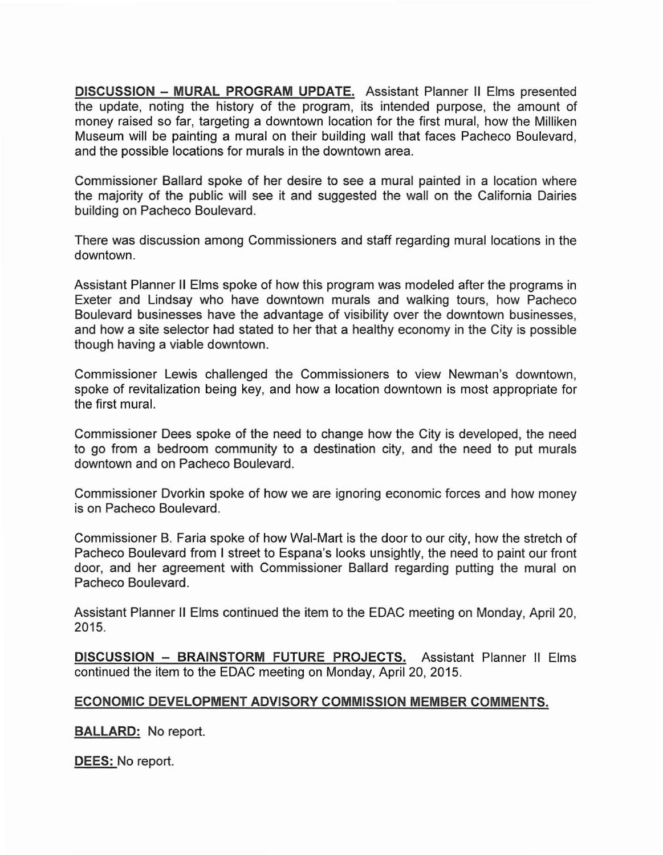**DISCUSSION - MURAL PROGRAM UPDATE.** Assistant Planner **II** Elms presented the update, noting the history of the program, its intended purpose, the amount of money raised so far, targeting a downtown location for the first mural, how the Milliken Museum will be painting a mural on their building wall that faces Pacheco Boulevard, and the possible locations for murals in the downtown area.

Commissioner Ballard spoke of her desire to see a mural painted in a location where the majority of the public will see it and suggested the wall on the California Dairies building on Pacheco Boulevard.

There was discussion among Commissioners and staff regarding mural locations in the downtown.

Assistant Planner II Elms spoke of how this program was modeled after the programs in Exeter and Lindsay who have downtown murals and walking tours, how Pacheco Boulevard businesses have the advantage of visibility over the downtown businesses, and how a site selector had stated to her that a healthy economy in the City is possible though having a viable downtown.

Commissioner Lewis challenged the Commissioners to view Newman's downtown, spoke of revitalization being key, and how a location downtown is most appropriate for the first mural.

Commissioner Dees spoke of the need to change how the City is developed, the need to go from a bedroom community to a destination city, and the need to put murals downtown and on Pacheco Boulevard.

Commissioner Dvorkin spoke of how we are ignoring economic forces and how money is on Pacheco Boulevard.

Commissioner B. Faria spoke of how Wal-Mart is the door to our city, how the stretch of Pacheco Boulevard from I street to Espana's looks unsightly, the need to paint our front door, and her agreement with Commissioner Ballard regarding putting the mural on Pacheco Boulevard.

Assistant Planner II Elms continued the item to the EDAC meeting on Monday, April 20, 2015.

**DISCUSSION - BRAINSTORM FUTURE PROJECTS.** Assistant Planner II Elms continued the item to the EDAC meeting on Monday, April 20, 2015.

## **ECONOMIC DEVELOPMENT ADVISORY COMMISSION MEMBER COMMENTS.**

**BALLARD:** No report.

**DEES:** No report.